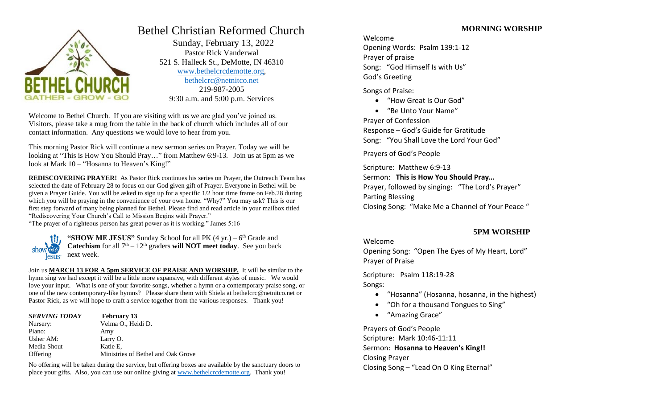

esus<sup>®</sup>

# Bethel Christian Reformed Church

 Sunday, February 13, 2022 Pastor Rick Vanderwal 521 S. Halleck St., DeMotte, IN 46310 [www.bethelcrcdemotte.org,](http://www.bethelcrcdemotte.org/) [bethelcrc@netnitco.net](mailto:bethelcrc@netnitco.net) 219-987-2005 9:30 a.m. and 5:00 p.m. Services

Welcome to Bethel Church. If you are visiting with us we are glad you've joined us. Visitors, please take a mug from the table in the back of church which includes all of our contact information. Any questions we would love to hear from you.

This morning Pastor Rick will continue a new sermon series on Prayer. Today we will be looking at "This is How You Should Pray…" from Matthew 6:9-13. Join us at 5pm as we look at Mark 10 – "Hosanna to Heaven's King!"

**REDISCOVERING PRAYER!** As Pastor Rick continues his series on Prayer, the Outreach Team has selected the date of February 28 to focus on our God given gift of Prayer. Everyone in Bethel will be given a Prayer Guide. You will be asked to sign up for a specific 1/2 hour time frame on Feb.28 during which you will be praying in the convenience of your own home. "Why?" You may ask? This is our first step forward of many being planned for Bethel. Please find and read article in your mailbox titled "Rediscovering Your Church's Call to Mission Begins with Prayer."

"The prayer of a righteous person has great power as it is working." James 5:16

"SHOW ME JESUS" Sunday School for all PK  $(4 \text{ yr.}) - 6^{\text{th}}$  Grade and **Catechism** for all  $7<sup>th</sup> - 12<sup>th</sup>$  graders **will NOT meet today**. See you back next week.

Join us **MARCH 13 FOR A 5pm SERVICE OF PRAISE AND WORSHIP.** It will be similar to the hymn sing we had except it will be a little more expansive, with different styles of music. We would love your input. What is one of your favorite songs, whether a hymn or a contemporary praise song, or one of the new contemporary-like hymns? Please share them with Shiela at bethelcrc@netnitco.net or Pastor Rick, as we will hope to craft a service together from the various responses. Thank you!

| <b>SERVING TODAY</b> | <b>February 13</b>                 |
|----------------------|------------------------------------|
| Nursery:             | Velma O., Heidi D.                 |
| Piano:               | Amy                                |
| Usher AM:            | Larry O.                           |
| Media Shout          | Katie E.                           |
| Offering             | Ministries of Bethel and Oak Grove |

No offering will be taken during the service, but offering boxes are available by the sanctuary doors to place your gifts. Also, you can use our online giving at [www.bethelcrcdemotte.org.](http://www.bethelcrcdemotte.org/) Thank you!

## **MORNING WORSHIP**

Welcome Opening Words: Psalm 139:1-12 Prayer of praise Song: "God Himself Is with Us" God's Greeting

Songs of Praise:

- "How Great Is Our God"
- "Be Unto Your Name"

Prayer of Confession Response – God's Guide for Gratitude Song: "You Shall Love the Lord Your God"

Prayers of God's People

Scripture: Matthew 6:9-13 Sermon: **This is How You Should Pray…** Prayer, followed by singing: "The Lord's Prayer" Parting Blessing Closing Song: "Make Me a Channel of Your Peace "

## **5PM WORSHIP**

## Welcome

Opening Song: "Open The Eyes of My Heart, Lord" Prayer of Praise

Scripture: Psalm 118:19-28 Songs:

- "Hosanna" (Hosanna, hosanna, in the highest)
- "Oh for a thousand Tongues to Sing"
- "Amazing Grace"

Prayers of God's People Scripture: Mark 10:46-11:11 Sermon: **Hosanna to Heaven's King!!** Closing Prayer Closing Song – "Lead On O King Eternal"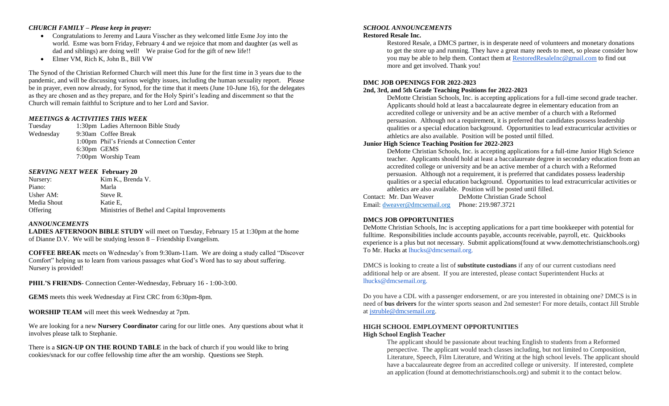#### *CHURCH FAMILY – Please keep in prayer:*

- Congratulations to Jeremy and Laura Visscher as they welcomed little Esme Joy into the world. Esme was born Friday, February 4 and we rejoice that mom and daughter (as well as dad and siblings) are doing well! We praise God for the gift of new life!!
- Elmer VM, Rich K, John B., Bill VW

The Synod of the Christian Reformed Church will meet this June for the first time in 3 years due to the pandemic, and will be discussing various weighty issues, including the human sexuality report. Please be in prayer, even now already, for Synod, for the time that it meets (June 10-June 16), for the delegates as they are chosen and as they prepare, and for the Holy Spirit's leading and discernment so that the Church will remain faithful to Scripture and to her Lord and Savior.

#### *MEETINGS & ACTIVITIES THIS WEEK*

| Tuesday   |             | 1:30pm Ladies Afternoon Bible Study        |
|-----------|-------------|--------------------------------------------|
| Wednesday |             | 9:30am Coffee Break                        |
|           |             | 1:00pm Phil's Friends at Connection Center |
|           | 6:30pm GEMS |                                            |
|           |             | 7:00pm Worship Team                        |

#### *SERVING NEXT WEEK* **February 20**

| Nursery:    | Kim K., Brenda V.                             |
|-------------|-----------------------------------------------|
| Piano:      | Marla                                         |
| Usher AM:   | Steve R.                                      |
| Media Shout | Katie E.                                      |
| Offering    | Ministries of Bethel and Capital Improvements |

#### *ANNOUNCEMENTS*

**LADIES AFTERNOON BIBLE STUDY** will meet on Tuesday, February 15 at 1:30pm at the home of Dianne D.V. We will be studying lesson 8 – Friendship Evangelism.

**COFFEE BREAK** meets on Wednesday's from 9:30am-11am. We are doing a study called "Discover Comfort" helping us to learn from various passages what God's Word has to say about suffering. Nursery is provided!

**PHIL'S FRIENDS**- Connection Center-Wednesday, February 16 - 1:00-3:00.

**GEMS** meets this week Wednesday at First CRC from 6:30pm-8pm.

**WORSHIP TEAM** will meet this week Wednesday at 7pm.

We are looking for a new **Nursery Coordinator** caring for our little ones. Any questions about what it involves please talk to Stephanie.

There is a **SIGN-UP ON THE ROUND TABLE** in the back of church if you would like to bring cookies/snack for our coffee fellowship time after the am worship. Questions see Steph.

### *SCHOOL ANNOUNCEMENTS*

#### **Restored Resale Inc.**

Restored Resale, a DMCS partner, is in desperate need of volunteers and monetary donations to get the store up and running. They have a great many needs to meet, so please consider how you may be able to help them. Contact them at [RestoredResaleInc@gmail.com](mailto:RestoredResaleInc@gmail.com) to find out more and get involved. Thank you!

#### **DMC JOB OPENINGS FOR 2022-2023**

#### **2nd, 3rd, and 5th Grade Teaching Positions for 2022-2023**

DeMotte Christian Schools, Inc. is accepting applications for a full-time second grade teacher. Applicants should hold at least a baccalaureate degree in elementary education from an accredited college or university and be an active member of a church with a Reformed persuasion. Although not a requirement, it is preferred that candidates possess leadership qualities or a special education background. Opportunities to lead extracurricular activities or athletics are also available. Position will be posted until filled.

#### **Junior High Science Teaching Position for 2022-2023**

DeMotte Christian Schools, Inc. is accepting applications for a full-time Junior High Science teacher. Applicants should hold at least a baccalaureate degree in secondary education from an accredited college or university and be an active member of a church with a Reformed persuasion. Although not a requirement, it is preferred that candidates possess leadership qualities or a special education background. Opportunities to lead extracurricular activities or athletics are also available. Position will be posted until filled.

Contact: Mr. Dan Weaver DeMotte Christian Grade School Email: [dweaver@dmcsemail.org](mailto:dweaver@dmcsemail.org) Phone: 219.987.3721

#### **DMCS JOB OPPORTUNITIES**

DeMotte Christian Schools, Inc is accepting applications for a part time bookkeeper with potential for fulltime. Responsibilities include accounts payable, accounts receivable, payroll, etc. Quickbooks experience is a plus but not necessary. Submit applications(found at www.demottechristianschools.org) To Mr. Hucks at lhucks@dmcsemail.org.

DMCS is looking to create a list of **substitute custodians** if any of our current custodians need additional help or are absent. If you are interested, please contact Superintendent Hucks at lhucks@dmcsemail.org.

Do you have a CDL with a passenger endorsement, or are you interested in obtaining one? DMCS is in need of **bus drivers** for the winter sports season and 2nd semester! For more details, contact Jill Struble at [jstruble@dmcsemail.org.](mailto:jstruble@dmcsemail.org)

# **HIGH SCHOOL EMPLOYMENT OPPORTUNITIES**

#### **High School English Teacher**

The applicant should be passionate about teaching English to students from a Reformed perspective. The applicant would teach classes including, but not limited to Composition, Literature, Speech, Film Literature, and Writing at the high school levels. The applicant should have a baccalaureate degree from an accredited college or university. If interested, complete an application (found at demottechristianschools.org) and submit it to the contact below.